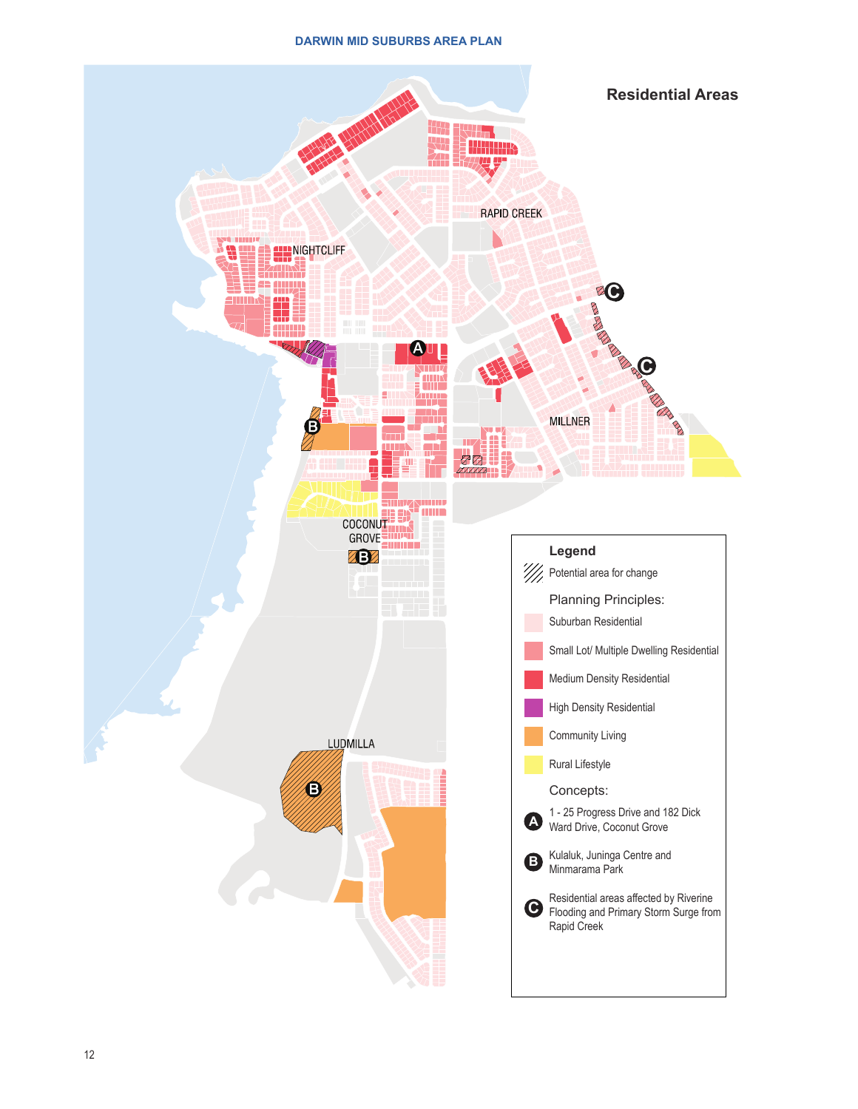## **DARWIN MID SUBURBS AREA PLAN**

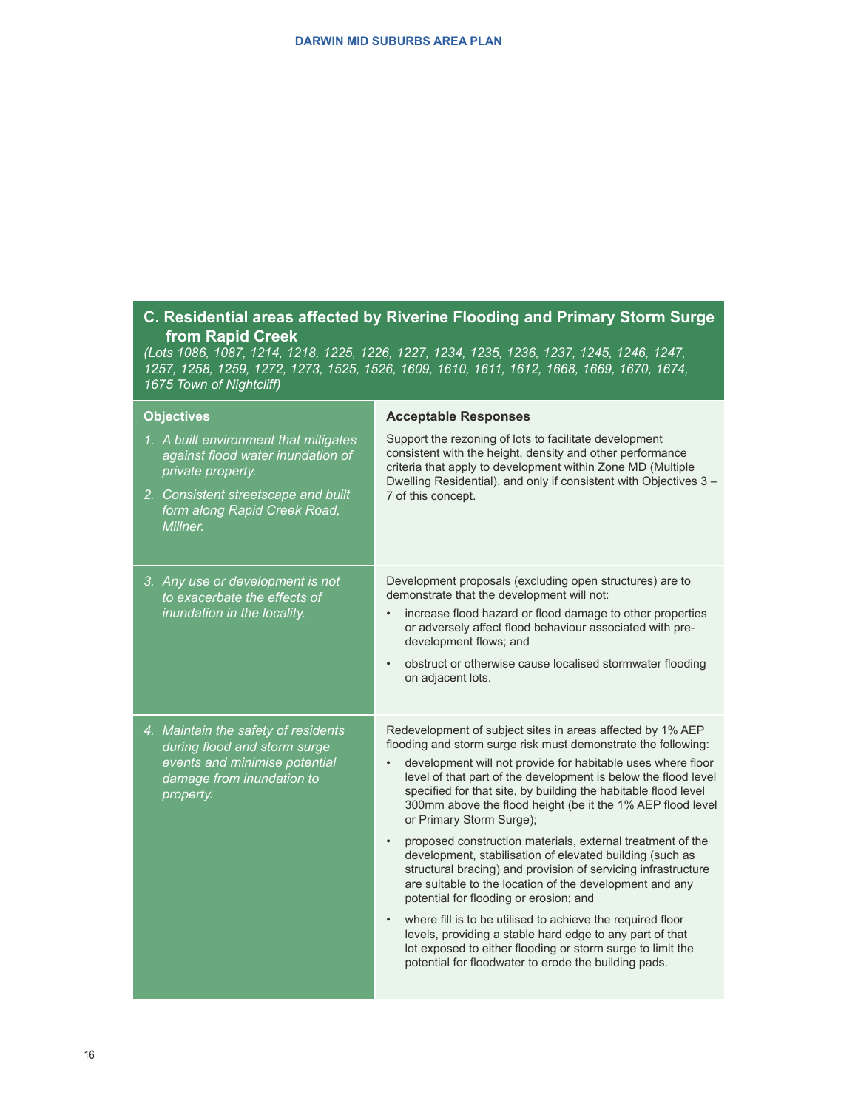## **C. Residential areas affected by Riverine Flooding and Primary Storm Surge from Rapid Creek**

*(Lots 1086, 1087, 1214, 1218, 1225, 1226, 1227, 1234, 1235, 1236, 1237, 1245, 1246, 1247, 1257, 1258, 1259, 1272, 1273, 1525, 1526, 1609, 1610, 1611, 1612, 1668, 1669, 1670, 1674, 1675 Town of Nightcliff)*

| <b>Objectives</b>                                                                                                                              | <b>Acceptable Responses</b>                                                                                                                                                                                                                                                                                                                                                                                              |
|------------------------------------------------------------------------------------------------------------------------------------------------|--------------------------------------------------------------------------------------------------------------------------------------------------------------------------------------------------------------------------------------------------------------------------------------------------------------------------------------------------------------------------------------------------------------------------|
| 1. A built environment that mitigates<br>against flood water inundation of<br>private property.                                                | Support the rezoning of lots to facilitate development<br>consistent with the height, density and other performance<br>criteria that apply to development within Zone MD (Multiple<br>Dwelling Residential), and only if consistent with Objectives 3 -<br>7 of this concept.                                                                                                                                            |
| 2. Consistent streetscape and built<br>form along Rapid Creek Road,<br>Millner.                                                                |                                                                                                                                                                                                                                                                                                                                                                                                                          |
| 3. Any use or development is not<br>to exacerbate the effects of<br>inundation in the locality.                                                | Development proposals (excluding open structures) are to<br>demonstrate that the development will not:<br>increase flood hazard or flood damage to other properties<br>or adversely affect flood behaviour associated with pre-<br>development flows; and                                                                                                                                                                |
|                                                                                                                                                | obstruct or otherwise cause localised stormwater flooding<br>$\bullet$<br>on adjacent lots.                                                                                                                                                                                                                                                                                                                              |
| 4. Maintain the safety of residents<br>during flood and storm surge<br>events and minimise potential<br>damage from inundation to<br>property. | Redevelopment of subject sites in areas affected by 1% AEP<br>flooding and storm surge risk must demonstrate the following:<br>development will not provide for habitable uses where floor<br>level of that part of the development is below the flood level<br>specified for that site, by building the habitable flood level<br>300mm above the flood height (be it the 1% AEP flood level<br>or Primary Storm Surge); |
|                                                                                                                                                | proposed construction materials, external treatment of the<br>$\bullet$<br>development, stabilisation of elevated building (such as<br>structural bracing) and provision of servicing infrastructure<br>are suitable to the location of the development and any<br>potential for flooding or erosion; and                                                                                                                |
|                                                                                                                                                | where fill is to be utilised to achieve the required floor<br>levels, providing a stable hard edge to any part of that<br>lot exposed to either flooding or storm surge to limit the<br>potential for floodwater to erode the building pads.                                                                                                                                                                             |